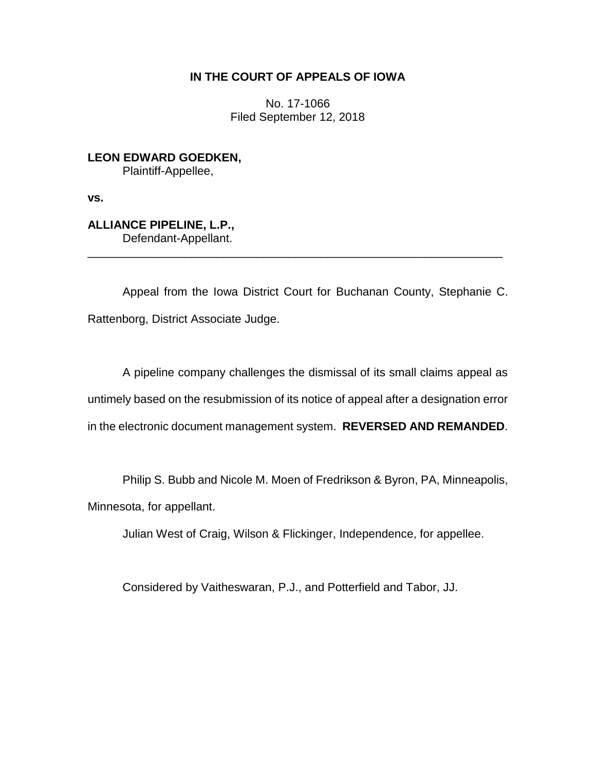# **IN THE COURT OF APPEALS OF IOWA**

No. 17-1066 Filed September 12, 2018

**LEON EDWARD GOEDKEN,** Plaintiff-Appellee,

**vs.**

**ALLIANCE PIPELINE, L.P.,** Defendant-Appellant.

Appeal from the Iowa District Court for Buchanan County, Stephanie C. Rattenborg, District Associate Judge.

\_\_\_\_\_\_\_\_\_\_\_\_\_\_\_\_\_\_\_\_\_\_\_\_\_\_\_\_\_\_\_\_\_\_\_\_\_\_\_\_\_\_\_\_\_\_\_\_\_\_\_\_\_\_\_\_\_\_\_\_\_\_\_\_

A pipeline company challenges the dismissal of its small claims appeal as untimely based on the resubmission of its notice of appeal after a designation error in the electronic document management system. **REVERSED AND REMANDED**.

Philip S. Bubb and Nicole M. Moen of Fredrikson & Byron, PA, Minneapolis, Minnesota, for appellant.

Julian West of Craig, Wilson & Flickinger, Independence, for appellee.

Considered by Vaitheswaran, P.J., and Potterfield and Tabor, JJ.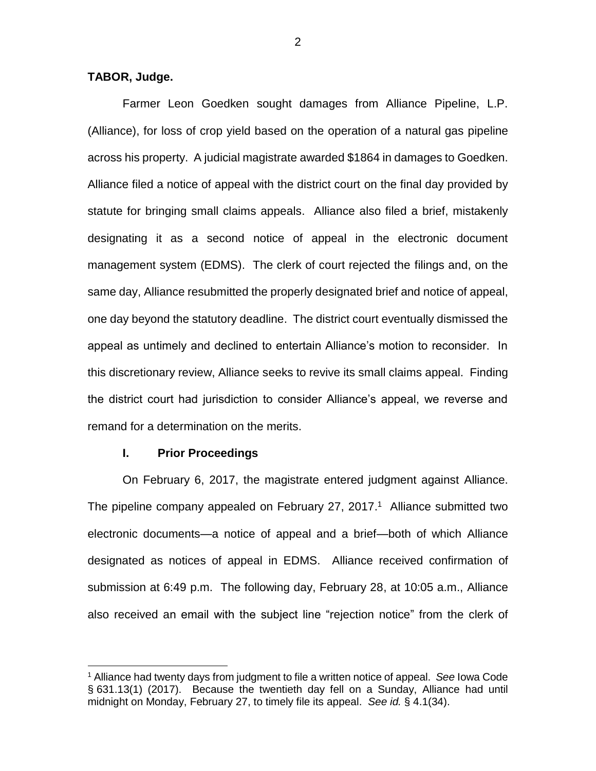# **TABOR, Judge.**

Farmer Leon Goedken sought damages from Alliance Pipeline, L.P. (Alliance), for loss of crop yield based on the operation of a natural gas pipeline across his property. A judicial magistrate awarded \$1864 in damages to Goedken. Alliance filed a notice of appeal with the district court on the final day provided by statute for bringing small claims appeals. Alliance also filed a brief, mistakenly designating it as a second notice of appeal in the electronic document management system (EDMS). The clerk of court rejected the filings and, on the same day, Alliance resubmitted the properly designated brief and notice of appeal, one day beyond the statutory deadline. The district court eventually dismissed the appeal as untimely and declined to entertain Alliance's motion to reconsider. In this discretionary review, Alliance seeks to revive its small claims appeal. Finding the district court had jurisdiction to consider Alliance's appeal, we reverse and remand for a determination on the merits.

#### **I. Prior Proceedings**

 $\overline{a}$ 

On February 6, 2017, the magistrate entered judgment against Alliance. The pipeline company appealed on February 27, 2017.<sup>1</sup> Alliance submitted two electronic documents—a notice of appeal and a brief—both of which Alliance designated as notices of appeal in EDMS. Alliance received confirmation of submission at 6:49 p.m. The following day, February 28, at 10:05 a.m., Alliance also received an email with the subject line "rejection notice" from the clerk of

<sup>1</sup> Alliance had twenty days from judgment to file a written notice of appeal. *See* Iowa Code § 631.13(1) (2017). Because the twentieth day fell on a Sunday, Alliance had until midnight on Monday, February 27, to timely file its appeal. *See id.* § 4.1(34).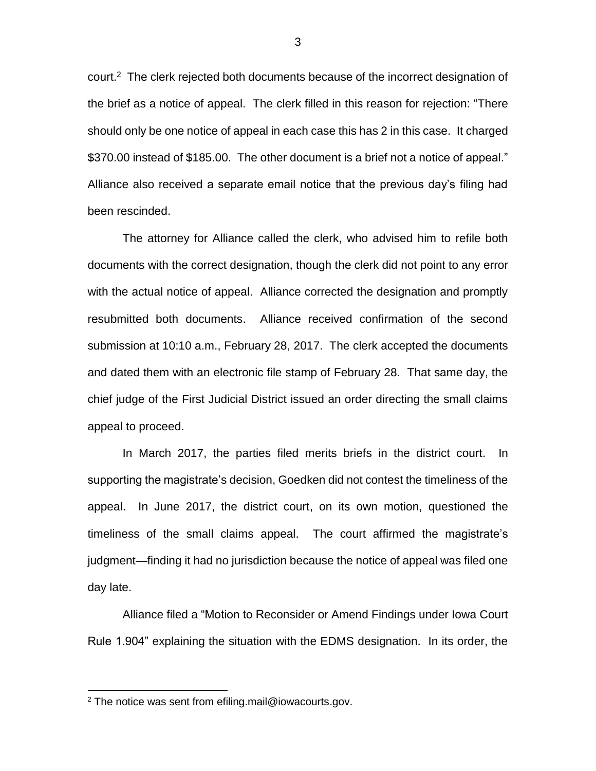court.<sup>2</sup> The clerk rejected both documents because of the incorrect designation of the brief as a notice of appeal. The clerk filled in this reason for rejection: "There should only be one notice of appeal in each case this has 2 in this case. It charged \$370.00 instead of \$185.00. The other document is a brief not a notice of appeal." Alliance also received a separate email notice that the previous day's filing had been rescinded.

The attorney for Alliance called the clerk, who advised him to refile both documents with the correct designation, though the clerk did not point to any error with the actual notice of appeal. Alliance corrected the designation and promptly resubmitted both documents. Alliance received confirmation of the second submission at 10:10 a.m., February 28, 2017. The clerk accepted the documents and dated them with an electronic file stamp of February 28. That same day, the chief judge of the First Judicial District issued an order directing the small claims appeal to proceed.

In March 2017, the parties filed merits briefs in the district court. In supporting the magistrate's decision, Goedken did not contest the timeliness of the appeal. In June 2017, the district court, on its own motion, questioned the timeliness of the small claims appeal. The court affirmed the magistrate's judgment—finding it had no jurisdiction because the notice of appeal was filed one day late.

Alliance filed a "Motion to Reconsider or Amend Findings under Iowa Court Rule 1.904" explaining the situation with the EDMS designation. In its order, the

<sup>2</sup> The notice was sent from efiling.mail@iowacourts.gov.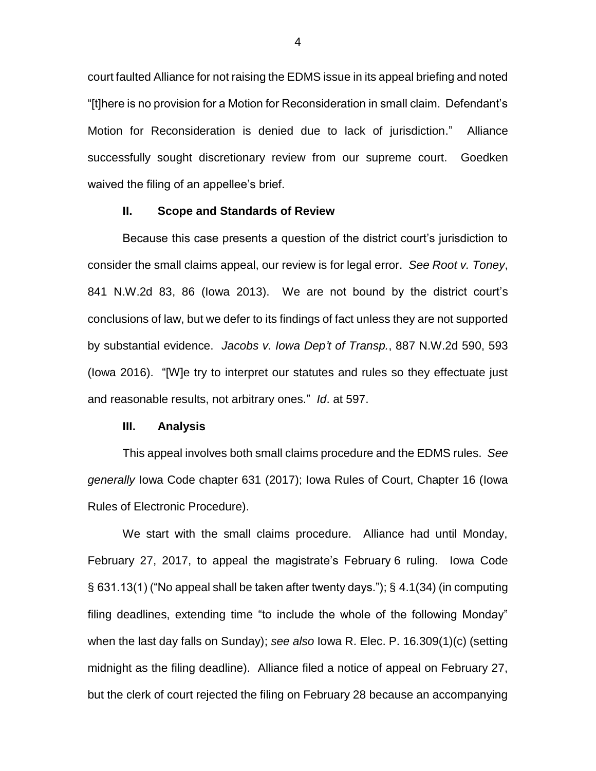court faulted Alliance for not raising the EDMS issue in its appeal briefing and noted "[t]here is no provision for a Motion for Reconsideration in small claim. Defendant's Motion for Reconsideration is denied due to lack of jurisdiction." Alliance successfully sought discretionary review from our supreme court. Goedken waived the filing of an appellee's brief.

## **II. Scope and Standards of Review**

Because this case presents a question of the district court's jurisdiction to consider the small claims appeal, our review is for legal error. *See Root v. Toney*, 841 N.W.2d 83, 86 (Iowa 2013). We are not bound by the district court's conclusions of law, but we defer to its findings of fact unless they are not supported by substantial evidence. *Jacobs v. Iowa Dep't of Transp.*, 887 N.W.2d 590, 593 (Iowa 2016). "[W]e try to interpret our statutes and rules so they effectuate just and reasonable results, not arbitrary ones." *Id*. at 597.

### **III. Analysis**

This appeal involves both small claims procedure and the EDMS rules. *See generally* Iowa Code chapter 631 (2017); Iowa Rules of Court, Chapter 16 (Iowa Rules of Electronic Procedure).

We start with the small claims procedure. Alliance had until Monday, February 27, 2017, to appeal the magistrate's February 6 ruling. Iowa Code § 631.13(1) ("No appeal shall be taken after twenty days."); § 4.1(34) (in computing filing deadlines, extending time "to include the whole of the following Monday" when the last day falls on Sunday); *see also* Iowa R. Elec. P. 16.309(1)(c) (setting midnight as the filing deadline). Alliance filed a notice of appeal on February 27, but the clerk of court rejected the filing on February 28 because an accompanying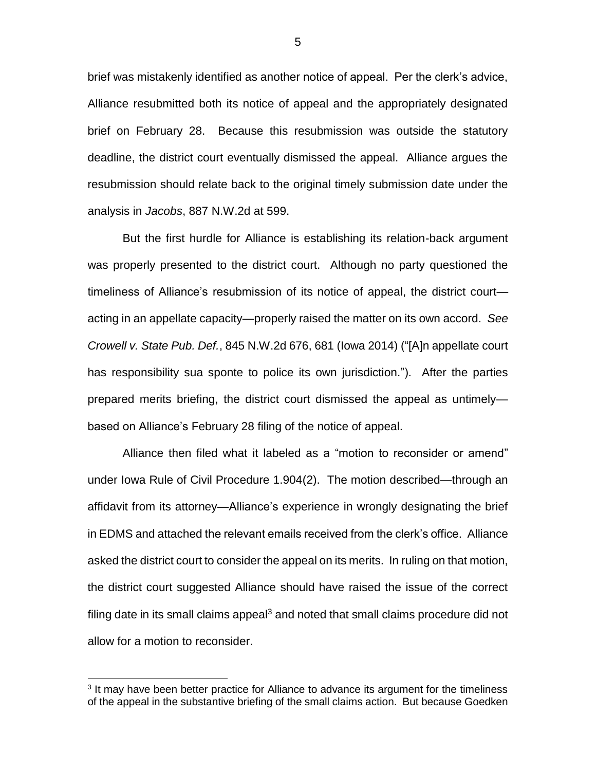brief was mistakenly identified as another notice of appeal. Per the clerk's advice, Alliance resubmitted both its notice of appeal and the appropriately designated brief on February 28. Because this resubmission was outside the statutory deadline, the district court eventually dismissed the appeal. Alliance argues the resubmission should relate back to the original timely submission date under the analysis in *Jacobs*, 887 N.W.2d at 599.

But the first hurdle for Alliance is establishing its relation-back argument was properly presented to the district court. Although no party questioned the timeliness of Alliance's resubmission of its notice of appeal, the district court acting in an appellate capacity—properly raised the matter on its own accord. *See Crowell v. State Pub. Def.*, 845 N.W.2d 676, 681 (Iowa 2014) ("[A]n appellate court has responsibility sua sponte to police its own jurisdiction."). After the parties prepared merits briefing, the district court dismissed the appeal as untimely based on Alliance's February 28 filing of the notice of appeal.

Alliance then filed what it labeled as a "motion to reconsider or amend" under Iowa Rule of Civil Procedure 1.904(2). The motion described—through an affidavit from its attorney—Alliance's experience in wrongly designating the brief in EDMS and attached the relevant emails received from the clerk's office. Alliance asked the district court to consider the appeal on its merits. In ruling on that motion, the district court suggested Alliance should have raised the issue of the correct filing date in its small claims appeal<sup>3</sup> and noted that small claims procedure did not allow for a motion to reconsider.

<sup>&</sup>lt;sup>3</sup> It may have been better practice for Alliance to advance its argument for the timeliness of the appeal in the substantive briefing of the small claims action. But because Goedken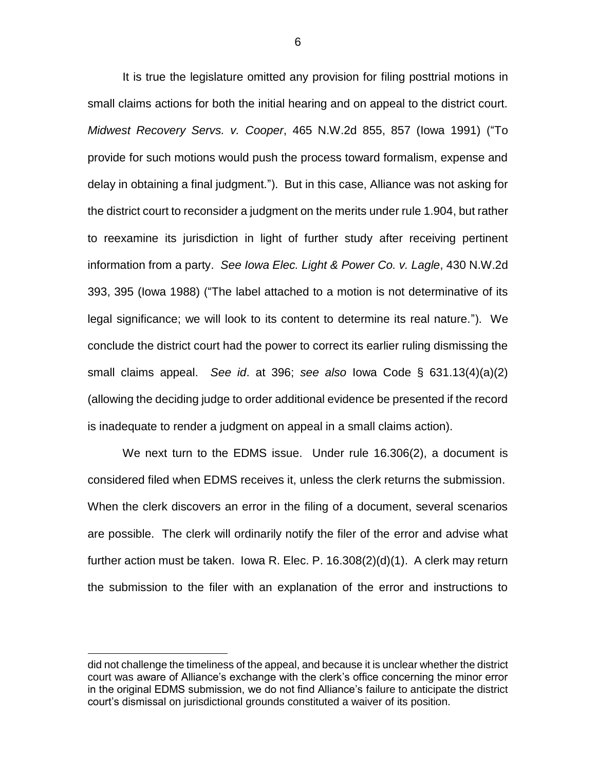It is true the legislature omitted any provision for filing posttrial motions in small claims actions for both the initial hearing and on appeal to the district court. *Midwest Recovery Servs. v. Cooper*, 465 N.W.2d 855, 857 (Iowa 1991) ("To provide for such motions would push the process toward formalism, expense and delay in obtaining a final judgment."). But in this case, Alliance was not asking for the district court to reconsider a judgment on the merits under rule 1.904, but rather to reexamine its jurisdiction in light of further study after receiving pertinent information from a party. *See Iowa Elec. Light & Power Co. v. Lagle*, 430 N.W.2d 393, 395 (Iowa 1988) ("The label attached to a motion is not determinative of its legal significance; we will look to its content to determine its real nature."). We conclude the district court had the power to correct its earlier ruling dismissing the small claims appeal. *See id*. at 396; *see also* Iowa Code § 631.13(4)(a)(2) (allowing the deciding judge to order additional evidence be presented if the record is inadequate to render a judgment on appeal in a small claims action).

We next turn to the EDMS issue. Under rule 16.306(2), a document is considered filed when EDMS receives it, unless the clerk returns the submission. When the clerk discovers an error in the filing of a document, several scenarios are possible. The clerk will ordinarily notify the filer of the error and advise what further action must be taken. Iowa R. Elec. P. 16.308(2)(d)(1). A clerk may return the submission to the filer with an explanation of the error and instructions to

did not challenge the timeliness of the appeal, and because it is unclear whether the district court was aware of Alliance's exchange with the clerk's office concerning the minor error in the original EDMS submission, we do not find Alliance's failure to anticipate the district court's dismissal on jurisdictional grounds constituted a waiver of its position.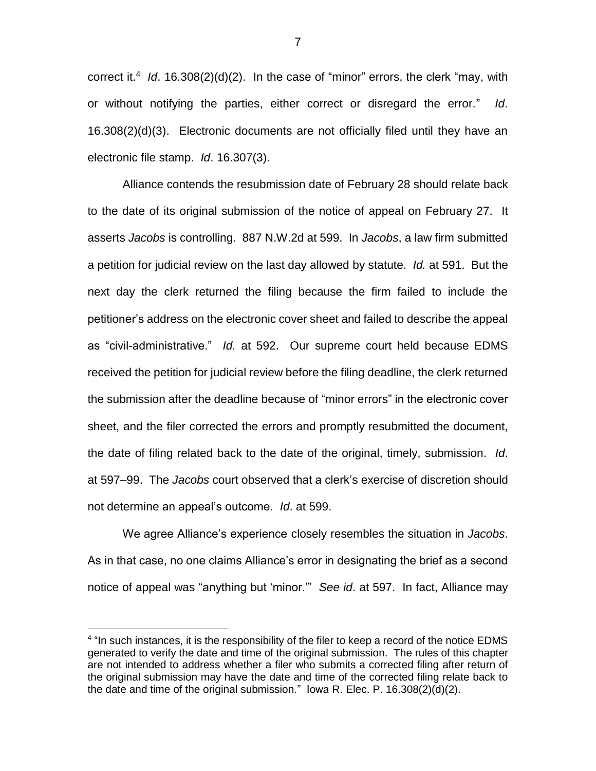correct it.<sup>4</sup> Id. 16.308(2)(d)(2). In the case of "minor" errors, the clerk "may, with or without notifying the parties, either correct or disregard the error." *Id*. 16.308(2)(d)(3). Electronic documents are not officially filed until they have an electronic file stamp. *Id*. 16.307(3).

Alliance contends the resubmission date of February 28 should relate back to the date of its original submission of the notice of appeal on February 27. It asserts *Jacobs* is controlling. 887 N.W.2d at 599. In *Jacobs*, a law firm submitted a petition for judicial review on the last day allowed by statute. *Id.* at 591. But the next day the clerk returned the filing because the firm failed to include the petitioner's address on the electronic cover sheet and failed to describe the appeal as "civil-administrative." *Id.* at 592. Our supreme court held because EDMS received the petition for judicial review before the filing deadline, the clerk returned the submission after the deadline because of "minor errors" in the electronic cover sheet, and the filer corrected the errors and promptly resubmitted the document, the date of filing related back to the date of the original, timely, submission. *Id*. at 597–99. The *Jacobs* court observed that a clerk's exercise of discretion should not determine an appeal's outcome. *Id*. at 599.

We agree Alliance's experience closely resembles the situation in *Jacobs*. As in that case, no one claims Alliance's error in designating the brief as a second notice of appeal was "anything but 'minor.'" *See id*. at 597. In fact, Alliance may

<sup>&</sup>lt;sup>4</sup> "In such instances, it is the responsibility of the filer to keep a record of the notice EDMS generated to verify the date and time of the original submission. The rules of this chapter are not intended to address whether a filer who submits a corrected filing after return of the original submission may have the date and time of the corrected filing relate back to the date and time of the original submission." Iowa R. Elec. P. 16.308(2)(d)(2).